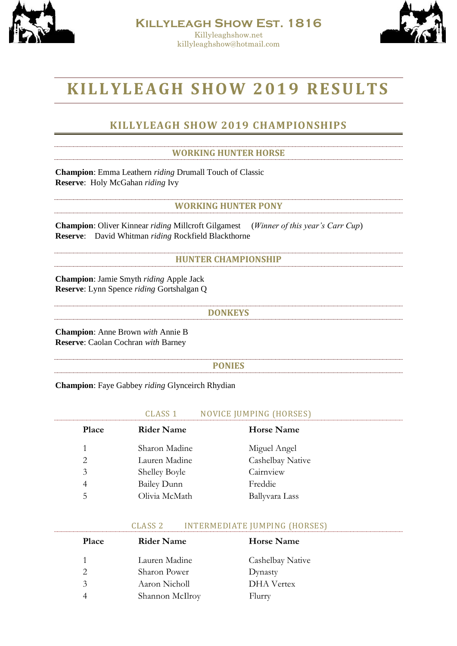



# **K I L L YL E A GH S HO W 20 1 9 R E SU L T S**

# **KILLYLEAGH SHOW 2019 CHAMPIONSHIPS**

### **WORKING HUNTER HORSE**

**Champion**: Emma Leathern *riding* Drumall Touch of Classic **Reserve**: Holy McGahan *riding* Ivy

#### **WORKING HUNTER PONY**

**Champion**: Oliver Kinnear *riding* Millcroft Gilgamest (*Winner of this year's Carr Cup*) **Reserve**: David Whitman *riding* Rockfield Blackthorne

### **HUNTER CHAMPIONSHIP**

**Champion**: Jamie Smyth *riding* Apple Jack **Reserve**: Lynn Spence *riding* Gortshalgan Q

#### **DONKEYS**

**Champion**: Anne Brown *with* Annie B **Reserve**: Caolan Cochran *with* Barney

#### **PONIES**

**Champion**: Faye Gabbey *riding* Glynceirch Rhydian

| н.<br>__                                             | <b><i>IMPING (HORSES</i></b><br>ш<br>$         -$ | N<br>-------                       |
|------------------------------------------------------|---------------------------------------------------|------------------------------------|
| ------------------------<br>--------------<br>------ | --------------------------<br>------              | -----------------------<br>------- |

| Place | <b>Rider Name</b>    | <b>Horse Name</b> |
|-------|----------------------|-------------------|
|       | Sharon Madine        | Miguel Angel      |
| 2     | Lauren Madine        | Cashelbay Native  |
| 3     | <b>Shelley Boyle</b> | Cairnview         |
| 4     | <b>Bailey Dunn</b>   | Freddie           |
| 5     | Olivia McMath        | Ballyvara Lass    |

#### CLASS 2 INTERMEDIATE JUMPING (HORSES)

| <b>Place</b> | <b>Rider Name</b> | <b>Horse Name</b> |
|--------------|-------------------|-------------------|
|              | Lauren Madine     | Cashelbay Native  |
|              | Sharon Power      | Dynasty           |
| 3            | Aaron Nicholl     | DHA Vertex        |
|              | Shannon McIlroy   | Flurry            |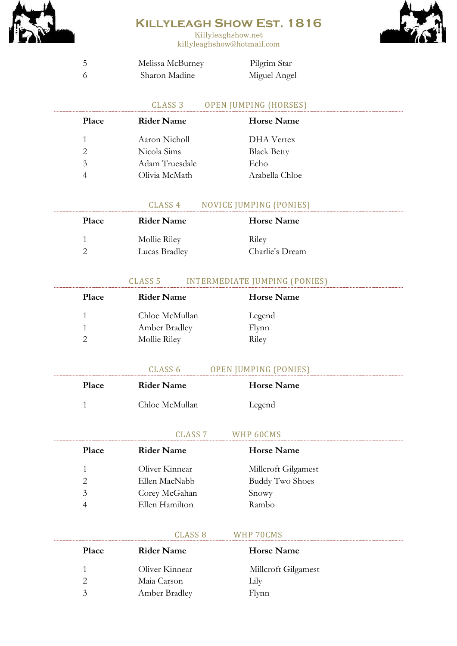

Killyleaghshow.net killyleaghshow@hotmail.com



| Melissa McBurney | Pilgrim Star |
|------------------|--------------|
| Sharon Madine    | Miguel Angel |

### CLASS 3 OPEN JUMPING (HORSES)

| <b>Place</b>  | <b>Rider Name</b> | <b>Horse Name</b>  |
|---------------|-------------------|--------------------|
|               | Aaron Nicholl     | <b>DHA</b> Vertex  |
| $\mathcal{P}$ | Nicola Sims       | <b>Black Betty</b> |
| $\mathcal{Z}$ | Adam Truesdale    | Echo               |
|               | Olivia McMath     | Arabella Chloe     |
|               |                   |                    |

#### CLASS 4 NOVICE JUMPING (PONIES)

| <b>Place</b> | <b>Rider Name</b>             | <b>Horse Name</b>        |
|--------------|-------------------------------|--------------------------|
|              | Mollie Riley<br>Lucas Bradley | Riley<br>Charlie's Dream |

## CLASS 5 INTERMEDIATE JUMPING (PONIES)

| Place | <b>Rider Name</b> | <b>Horse Name</b> |
|-------|-------------------|-------------------|
|       | Chloe McMullan    | Legend            |
|       | Amber Bradley     | Flynn             |
|       | Mollie Riley      | Riley             |

|              | CLASS 6        | <b>OPEN JUMPING (PONIES)</b> |  |
|--------------|----------------|------------------------------|--|
| <b>Place</b> | Rider Name     | Horse Name                   |  |
|              | Chloe McMullan | Legend                       |  |

#### CLASS 7 WHP 60CMS

| <b>Place</b>   | <b>Rider Name</b> | <b>Horse Name</b>      |  |
|----------------|-------------------|------------------------|--|
| 1.             | Oliver Kinnear    | Millcroft Gilgamest    |  |
| 2              | Ellen MacNabb     | <b>Buddy Two Shoes</b> |  |
| 3              | Corey McGahan     | Snowy                  |  |
| $\overline{A}$ | Ellen Hamilton    | Rambo                  |  |

|               | CLASS 8           | WHP 70CMS           |  |
|---------------|-------------------|---------------------|--|
| <b>Place</b>  | <b>Rider Name</b> | Horse Name          |  |
| 1.            | Oliver Kinnear    | Millcroft Gilgamest |  |
|               | Maia Carson       | Lılv                |  |
| $\mathcal{R}$ | Amber Bradley     | Flvnn               |  |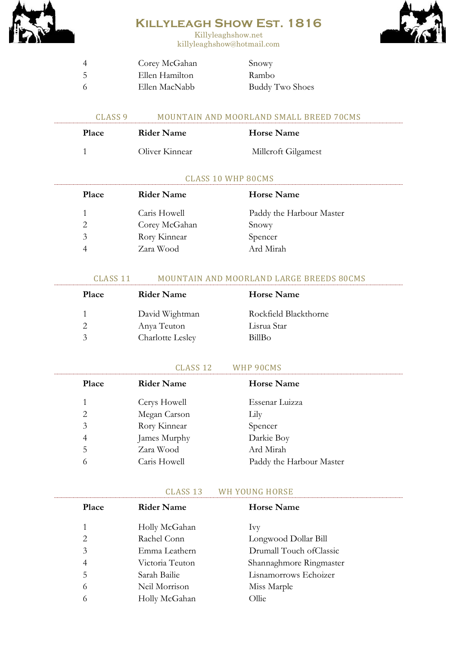



Killyleaghshow.net killyleaghshow@hotmail.com

|    | Corey McGahan  | Snowy                  |
|----|----------------|------------------------|
| -5 | Ellen Hamilton | Rambo                  |
| -6 | Ellen MacNabb  | <b>Buddy Two Shoes</b> |

1 Oliver Kinnear Millcroft Gilgamest

| CLASS <sub>9</sub> |            | MOUNTAIN AND MOORLAND SMALL BREED 70CMS |  |
|--------------------|------------|-----------------------------------------|--|
| <b>Place</b>       | Rider Name | Horse Name                              |  |

# CLASS 10 WHP 80CMS

| <b>Place</b> | <b>Rider Name</b> | <b>Horse Name</b>        |
|--------------|-------------------|--------------------------|
|              | Caris Howell      | Paddy the Harbour Master |
|              | Corey McGahan     | Snowy                    |
| 3            | Rory Kinnear      | Spencer                  |
|              | Zara Wood         | Ard Mirah                |

### CLASS 11 MOUNTAIN AND MOORLAND LARGE BREEDS 80CMS

| Place              | <b>Rider Name</b> | <b>Horse Name</b>     |
|--------------------|-------------------|-----------------------|
|                    | David Wightman    | Rockfield Blackthorne |
|                    | Anya Teuton       | Lisrua Star           |
| $\mathbf{\hat{z}}$ | Charlotte Lesley  | BillBo                |

### CLASS 12 WHP 90CMS

| Place | <b>Rider Name</b> | <b>Horse Name</b>        |
|-------|-------------------|--------------------------|
| 1     | Cerys Howell      | Essenar Luizza           |
| 2     | Megan Carson      | Lily                     |
| 3     | Rory Kinnear      | Spencer                  |
| 4     | James Murphy      | Darkie Boy               |
| 5     | Zara Wood         | Ard Mirah                |
| 6     | Caris Howell      | Paddy the Harbour Master |

#### CLASS 13 WH YOUNG HORSE

| Place | <b>Rider Name</b> | <b>Horse Name</b>        |
|-------|-------------------|--------------------------|
| 1     | Holly McGahan     | <b>Ivy</b>               |
| 2     | Rachel Conn       | Longwood Dollar Bill     |
| 3     | Emma Leathern     | Drumall Touch of Classic |
| 4     | Victoria Teuton   | Shannaghmore Ringmaster  |
| 5     | Sarah Bailie      | Lisnamorrows Echoizer    |
| 6     | Neil Morrison     | Miss Marple              |
| 6     | Holly McGahan     | Ollie                    |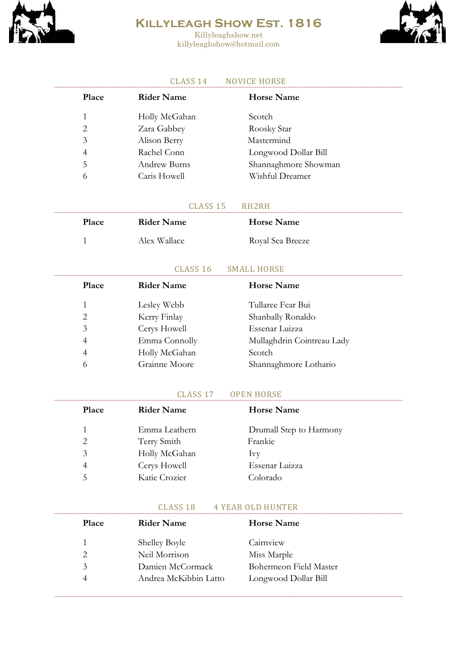

Killyleaghshow.net killyleaghshow@hotmail.com



#### CLASS 14 NOVICE HORSE

| Place | <b>Rider Name</b> | <b>Horse Name</b>    |
|-------|-------------------|----------------------|
| 1     | Holly McGahan     | Scotch               |
| 2     | Zara Gabbey       | Roosky Star          |
| 3     | Alison Berry      | Mastermind           |
| 4     | Rachel Conn       | Longwood Dollar Bill |
| .5    | Andrew Burns      | Shannaghmore Showman |
| 6     | Caris Howell      | Wishful Dreamer      |

#### CLASS 15 RH2RH

| Place | <b>Rider Name</b> | <b>Horse Name</b> |
|-------|-------------------|-------------------|
|       | Alex Wallace      | Royal Sea Breeze  |

#### CLASS 16 SMALL HORSE

| Place | <b>Rider Name</b> | <b>Horse Name</b>          |
|-------|-------------------|----------------------------|
| 1     | Lesley Webb       | Tullaree Fear Bui          |
| 2     | Kerry Finlay      | Shanbally Ronaldo          |
| 3     | Cerys Howell      | Essenar Luizza             |
| 4     | Emma Connolly     | Mullaghdrin Cointreau Lady |
| 4     | Holly McGahan     | Scotch                     |
| 6     | Grainne Moore     | Shannaghmore Lothario      |
|       |                   |                            |

#### CLASS 17 OPEN HORSE

| <b>Place</b>  | <b>Rider Name</b> | <b>Horse Name</b>       |
|---------------|-------------------|-------------------------|
|               | Emma Leathern     | Drumall Step to Harmony |
| $\mathcal{L}$ | Terry Smith       | Frankie                 |
| 3             | Holly McGahan     | <b>IVV</b>              |
| 4             | Cerys Howell      | Essenar Luizza          |
| 5.            | Katie Crozier     | Colorado                |

#### CLASS 18 4 YEAR OLD HUNTER

| <b>Place</b>  | Rider Name            | <b>Horse Name</b>      |
|---------------|-----------------------|------------------------|
|               | <b>Shelley Boyle</b>  | Cairnview              |
|               | Neil Morrison         | Miss Marple            |
| $\mathcal{Z}$ | Damien McCormack      | Bohermeon Field Master |
| 4             | Andrea McKibbin Latto | Longwood Dollar Bill   |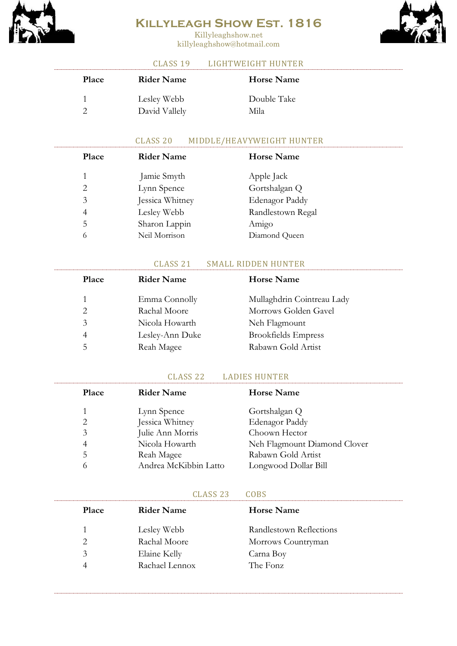

Killyleaghshow.net killyleaghshow@hotmail.com



### CLASS 19 LIGHTWEIGHT HUNTER

| <b>Place</b> | <b>Rider Name</b> | <b>Horse Name</b> |
|--------------|-------------------|-------------------|
|              | Lesley Webb       | Double Take       |
|              | David Vallely     | Mila              |

### CLASS 20 MIDDLE/HEAVYWEIGHT HUNTER

| Place                       | <b>Rider Name</b> | <b>Horse Name</b> |
|-----------------------------|-------------------|-------------------|
| 1                           | Jamie Smyth       | Apple Jack        |
| $\mathcal{D}_{\mathcal{L}}$ | Lynn Spence       | Gortshalgan Q     |
| 3                           | Jessica Whitney   | Edenagor Paddy    |
| 4                           | Lesley Webb       | Randlestown Regal |
| 5                           | Sharon Lappin     | Amigo             |
| 6                           | Neil Morrison     | Diamond Queen     |

### CLASS 21 SMALL RIDDEN HUNTER

| <b>Place</b>   | <b>Rider Name</b> | <b>Horse Name</b>          |
|----------------|-------------------|----------------------------|
| 1              | Emma Connolly     | Mullaghdrin Cointreau Lady |
| $\mathfrak{D}$ | Rachal Moore      | Morrows Golden Gavel       |
| 3              | Nicola Howarth    | Neh Flagmount              |
| 4              | Lesley-Ann Duke   | <b>Brookfields Empress</b> |
| 5              | Reah Magee        | Rabawn Gold Artist         |
|                |                   |                            |

#### CLASS 22 LADIES HUNTER

| Place | <b>Rider Name</b>     | <b>Horse Name</b>            |
|-------|-----------------------|------------------------------|
| 1     | Lynn Spence           | Gortshalgan Q                |
| 2     | Jessica Whitney       | Edenagor Paddy               |
| 3     | Julie Ann Morris      | Choown Hector                |
| 4     | Nicola Howarth        | Neh Flagmount Diamond Clover |
| 5     | Reah Magee            | Rabawn Gold Artist           |
| 6     | Andrea McKibbin Latto | Longwood Dollar Bill         |
|       |                       |                              |

#### CLASS 23 COBS

| <b>Place</b> | <b>Rider Name</b> | <b>Horse Name</b>       |
|--------------|-------------------|-------------------------|
| 1            | Lesley Webb       | Randlestown Reflections |
| 2            | Rachal Moore      | Morrows Countryman      |
| 3            | Elaine Kelly      | Carna Boy               |
| 4            | Rachael Lennox    | The Fonz                |
|              |                   |                         |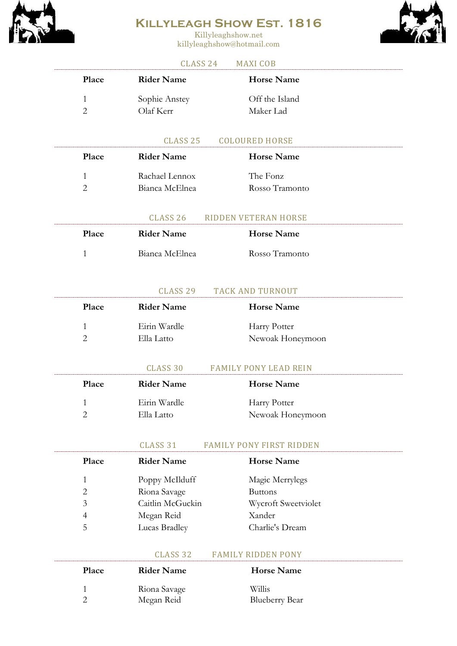

Killyleaghshow.net killyleaghshow@hotmail.com



### CLASS 24 MAXI COB

| <b>Place</b> | Rider Name                 | <b>Horse Name</b>           |
|--------------|----------------------------|-----------------------------|
| 2            | Sophie Anstey<br>Olaf Kerr | Off the Island<br>Maker Lad |

#### CLASS 25 COLOURED HORSE

| <b>Place</b> | Rider Name     | Horse Name     |
|--------------|----------------|----------------|
|              | Rachael Lennox | The Fonz       |
|              | Bianca McElnea | Rosso Tramonto |

#### CLASS 26 RIDDEN VETERAN HORSE

| <b>Place</b> | <b>Rider Name</b> | <b>Horse Name</b> |
|--------------|-------------------|-------------------|
|              | Bianca McElnea    | Rosso Tramonto    |

### CLASS 29 TACK AND TURNOUT

| <b>Place</b> | <b>Rider Name</b>          | <b>Horse Name</b>                |
|--------------|----------------------------|----------------------------------|
|              | Eirin Wardle<br>Ella Latto | Harry Potter<br>Newoak Honeymoon |
|              |                            |                                  |

# CLASS 30 FAMILY PONY LEAD REIN

| <b>Place</b> | <b>Rider Name</b> | <b>Horse Name</b> |
|--------------|-------------------|-------------------|
|              | Eirin Wardle      | Harry Potter      |
|              | Ella Latto        | Newoak Honeymoon  |

CLASS 31 FAMILY PONY FIRST RIDDEN

| Place | <b>Rider Name</b> | <b>Horse Name</b>   |
|-------|-------------------|---------------------|
| 1.    | Poppy McIlduff    | Magic Merrylegs     |
| 2     | Riona Savage      | <b>Buttons</b>      |
| 3     | Caitlin McGuckin  | Wycroft Sweetviolet |
| 4     | Megan Reid        | Xander              |
| 5     | Lucas Bradley     | Charlie's Dream     |

#### CLASS 32 FAMILY RIDDEN PONY

| <b>Place</b> | <b>Rider Name</b> | <b>Horse Name</b>     |
|--------------|-------------------|-----------------------|
|              | Riona Savage      | Willis                |
|              | Megan Reid        | <b>Blueberry Bear</b> |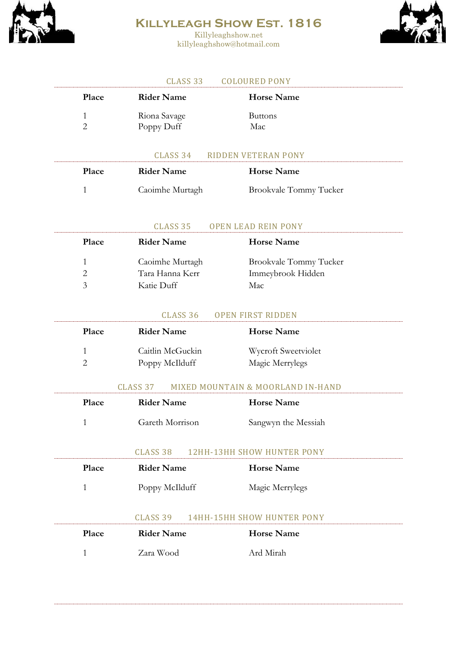

Killyleaghshow.net killyleaghshow@hotmail.com



#### CLASS 33 COLOURED PONY

| Place  | <b>Rider Name</b>          | <b>Horse Name</b>             |
|--------|----------------------------|-------------------------------|
| 1<br>2 | Riona Savage<br>Poppy Duff | <b>Buttons</b><br>Mac         |
|        | CLASS 34                   | <b>RIDDEN VETERAN PONY</b>    |
| Place  | <b>Rider Name</b>          | <b>Horse Name</b>             |
| 1      | Caoimhe Murtagh            | <b>Brookvale Tommy Tucker</b> |

#### CLASS 35 OPEN LEAD REIN PONY

| <b>Place</b>                | <b>Rider Name</b> | <b>Horse Name</b>             |
|-----------------------------|-------------------|-------------------------------|
| Ŧ.                          | Caoimhe Murtagh   | <b>Brookvale Tommy Tucker</b> |
| $\mathcal{D}_{\mathcal{L}}$ | Tara Hanna Kerr   | Immeybrook Hidden             |
| $\mathcal{Z}$               | Katie Duff        | Mac                           |

#### CLASS 36 OPEN FIRST RIDDEN

| Place         | <b>Rider Name</b> | <b>Horse Name</b>   |
|---------------|-------------------|---------------------|
|               | Caitlin McGuckin  | Wycroft Sweetviolet |
| $\mathcal{D}$ | Poppy McIlduff    | Magic Merrylegs     |
|               |                   |                     |

#### CLASS 37 MIXED MOUNTAIN & MOORLAND IN-HAND

| <b>Place</b> | <b>Rider Name</b> | <b>Horse Name</b>   |
|--------------|-------------------|---------------------|
|              | Gareth Morrison   | Sangwyn the Messiah |

#### CLASS 38 12HH-13HH SHOW HUNTER PONY

| Place | <b>Rider Name</b> | <b>Horse Name</b>          |
|-------|-------------------|----------------------------|
| 1     | Poppy McIlduff    | Magic Merrylegs            |
|       | CLASS 39          | 14HH-15HH SHOW HUNTER PONY |
| Place | <b>Rider Name</b> | <b>Horse Name</b>          |
|       | Zara Wood         | Ard Mirah                  |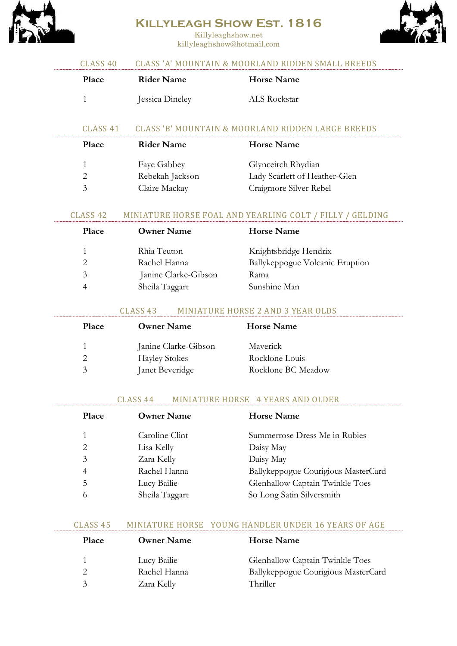

Killyleaghshow.net killyleaghshow@hotmail.com



# CLASS 40 CLASS 'A' MOUNTAIN & MOORLAND RIDDEN SMALL BREEDS Place Rider Name Horse Name 1 **Jessica Dineley** ALS Rockstar CLASS 41 CLASS 'B' MOUNTAIN & MOORLAND RIDDEN LARGE BREEDS Place Rider Name Horse Name 1 Faye Gabbey Glynceirch Rhydian 2 Rebekah Jackson Lady Scarlett of Heather-Glen 3 Claire Mackay Craigmore Silver Rebel CLASS 42 MINIATURE HORSE FOAL AND YEARLING COLT / FILLY / GELDING **Place Owner Name Horse Name** 1 Rhia Teuton Knightsbridge Hendrix 2 Rachel Hanna Ballykeppogue Volcanic Eruption 3 Janine Clarke-Gibson Rama 4 Sheila Taggart Sunshine Man CLASS 43 MINIATURE HORSE 2 AND 3 YEAR OLDS Place **Owner Name** Horse Name 1 Janine Clarke-Gibson Maverick 2 Hayley Stokes Rocklone Louis 3 Janet Beveridge Rocklone BC Meadow CLASS 44 MINIATURE HORSE 4 YEARS AND OLDER Place **Owner Name** Horse Name 1 Caroline Clint Summerrose Dress Me in Rubies 2 Lisa Kelly Daisy May 3 Zara Kelly Daisy May 4 Rachel Hanna Ballykeppogue Courigious MasterCard 5 Lucy Bailie Glenhallow Captain Twinkle Toes 6 Sheila Taggart So Long Satin Silversmith CLASS 45 MINIATURE HORSE YOUNG HANDLER UNDER 16 YEARS OF AGE

Place **Owner Name** Horse Name 1 Lucy Bailie Glenhallow Captain Twinkle Toes 2 Rachel Hanna Ballykeppogue Courigious MasterCard 3 Zara Kelly Thriller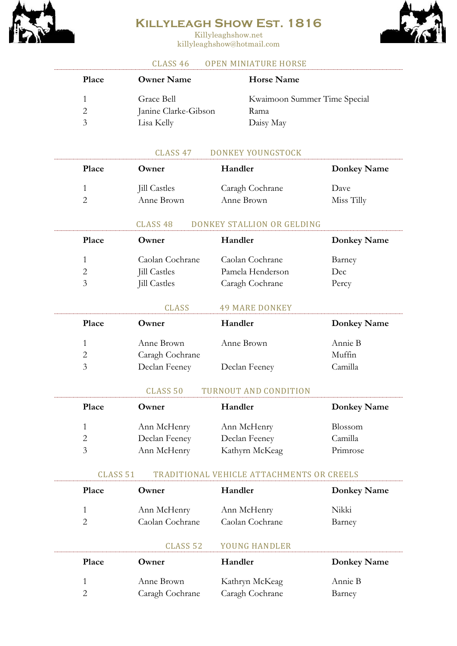

Killyleaghshow.net killyleaghshow@hotmail.com



### CLASS 46 OPEN MINIATURE HORSE

| Place         | <b>Owner Name</b>    | <b>Horse Name</b>            |
|---------------|----------------------|------------------------------|
|               | Grace Bell           | Kwaimoon Summer Time Special |
|               | Janine Clarke-Gibson | Rama                         |
| $\mathcal{Z}$ | Lisa Kelly           | Daisy May                    |

### CLASS 47 DONKEY YOUNGSTOCK

| Place | Owner               | Handler         | <b>Donkey Name</b> |
|-------|---------------------|-----------------|--------------------|
|       | <b>Jill Castles</b> | Caragh Cochrane | Dave               |
|       | Anne Brown          | Anne Brown      | Miss Tilly         |

#### CLASS 48 DONKEY STALLION OR GELDING

| <b>Place</b> | Owner                                                         | Handler                                                | <b>Donkey Name</b>     |
|--------------|---------------------------------------------------------------|--------------------------------------------------------|------------------------|
| 2<br>3       | Caolan Cochrane<br><b>Jill Castles</b><br><b>Jill Castles</b> | Caolan Cochrane<br>Pamela Henderson<br>Caragh Cochrane | Barney<br>Dec<br>Percy |
|              | <b>CLASS</b>                                                  | <b>49 MARE DONKEY</b>                                  |                        |
| <b>Place</b> | Owner                                                         | Handler                                                | <b>Donkey Name</b>     |
|              | Anne Brown                                                    | Anne Brown                                             | Annie B                |

2 Caragh Cochrane Muffin 3 Declan Feeney Declan Feeney Camilla

#### CLASS 50 TURNOUT AND CONDITION

| <b>Place</b>  | Owner         | Handler        | <b>Donkey Name</b> |
|---------------|---------------|----------------|--------------------|
|               | Ann McHenry   | Ann McHenry    | Blossom            |
|               | Declan Feeney | Declan Feeney  | Camilla            |
| $\mathcal{Z}$ | Ann McHenry   | Kathyrn McKeag | Primrose           |

#### CLASS 51 TRADITIONAL VEHICLE ATTACHMENTS OR CREELS

| Place | Owner           | Handler         | <b>Donkey Name</b> |
|-------|-----------------|-----------------|--------------------|
|       | Ann McHenry     | Ann McHenry     | Nikki              |
|       | Caolan Cochrane | Caolan Cochrane | Barney             |

## CLASS 52 YOUNG HANDLER

| <b>Place</b> | Owner           | Handler         | <b>Donkey Name</b> |
|--------------|-----------------|-----------------|--------------------|
|              | Anne Brown      | Kathryn McKeag  | Annie B            |
|              | Caragh Cochrane | Caragh Cochrane | Barney             |